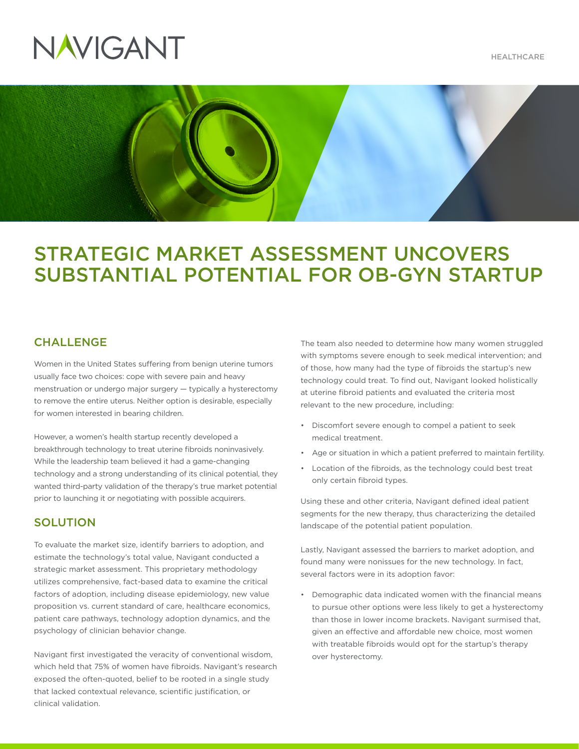

# NAVIGANT



# STRATEGIC MARKET ASSESSMENT UNCOVERS SUBSTANTIAL POTENTIAL FOR OB-GYN STARTUP

## **CHALLENGE**

Women in the United States suffering from benign uterine tumors usually face two choices: cope with severe pain and heavy menstruation or undergo major surgery — typically a hysterectomy to remove the entire uterus. Neither option is desirable, especially for women interested in bearing children.

However, a women's health startup recently developed a breakthrough technology to treat uterine fibroids noninvasively. While the leadership team believed it had a game-changing technology and a strong understanding of its clinical potential, they wanted third-party validation of the therapy's true market potential prior to launching it or negotiating with possible acquirers.

### **SOLUTION**

To evaluate the market size, identify barriers to adoption, and estimate the technology's total value, Navigant conducted a strategic market assessment. This proprietary methodology utilizes comprehensive, fact-based data to examine the critical factors of adoption, including disease epidemiology, new value proposition vs. current standard of care, healthcare economics, patient care pathways, technology adoption dynamics, and the psychology of clinician behavior change.

Navigant first investigated the veracity of conventional wisdom, which held that 75% of women have fibroids. Navigant's research exposed the often-quoted, belief to be rooted in a single study that lacked contextual relevance, scientific justification, or clinical validation.

The team also needed to determine how many women struggled with symptoms severe enough to seek medical intervention; and of those, how many had the type of fibroids the startup's new technology could treat. To find out, Navigant looked holistically at uterine fibroid patients and evaluated the criteria most relevant to the new procedure, including:

- Discomfort severe enough to compel a patient to seek medical treatment.
- Age or situation in which a patient preferred to maintain fertility.
- Location of the fibroids, as the technology could best treat only certain fibroid types.

Using these and other criteria, Navigant defined ideal patient segments for the new therapy, thus characterizing the detailed landscape of the potential patient population.

Lastly, Navigant assessed the barriers to market adoption, and found many were nonissues for the new technology. In fact, several factors were in its adoption favor:

• Demographic data indicated women with the financial means to pursue other options were less likely to get a hysterectomy than those in lower income brackets. Navigant surmised that, given an effective and affordable new choice, most women with treatable fibroids would opt for the startup's therapy over hysterectomy.